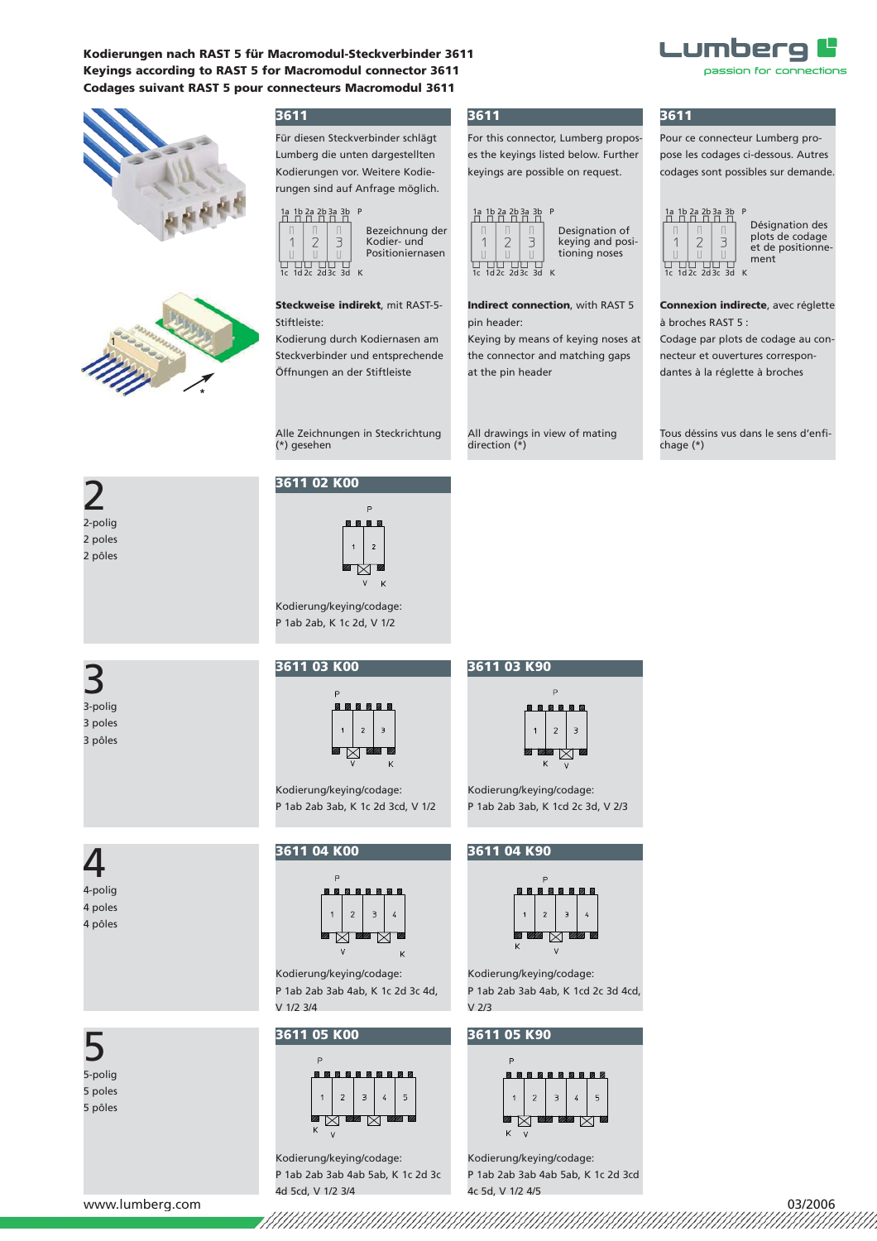**Kodierungen nach RAST 5 für Macromodul-Steckverbinder 3611 Keyings according to RAST 5 for Macromodul connector 3611 Codages suivant RAST 5 pour connecteurs Macromodul 3611**





## **3611**

Für diesen Steckverbinder schlägt Lumberg die unten dargestellten Kodierungen vor. Weitere Kodierun gen sind auf Anfrage möglich.



3

Bezeichnung der Kodier- und Positioniernasen  $\overline{11}$  $\overline{11}$   $\overline{11}$  $\overline{11}$   $\overline{11}$ <br>1d 2c  $\overline{2}$ d 3c  $\overline{3}$ d

### **Steckweise indirekt**, mit RAST-5- Stiftleiste:

Kodierung durch Kodiernasen am Steckverbinder und entsprechende Öffnungen an der Stiftleiste

Alle Zeichnungen in Steckrichtung<br>(\*) gesehen

# **3611 02 K00**



Kodierung/keying/codage: P 1ab 2ab, K 1c 2d, V 1/2

## **3611 03 K00**



Kodierung/keying/codage: P 1ab 2ab 3ab, K 1c 2d 3cd, V 1/2

4 4-polig

2 2-polig

2 poles 2 pôles

3 3-polig 3 poles 3 pôles

4 poles 4 pôles

5 5-polig 5 poles 5 pôles

## **3611 04 K00**



Kodierung/keying/codage: P 1ab 2ab 3ab 4ab, K 1c 2d 3c 4d, V 1/2 3/4

#### **3611 05 K00**



Kodierung/keying/codage: P 1ab 2ab 3ab 4ab 5ab, K 1c 2d 3c 4d 5cd, V 1/2 3/4

## **3611**

For this connector, Lumberg proposes the keyings listed below. Further keyings are possible on request.



**Indirect connection**, with RAST 5 pin header:

Keying by means of keying noses at the connector and matching gaps at the pin header

All drawings in view of mating direction (\*)

## **3611**

Pour ce connecteur Lumberg propose les codages ci-dessous. Autres codages sont possibles sur demande.

Lumberg

passion for connections



Désignation des plots de codage et de positionnement

**Connexion indirecte**, avec réglette à broches RAST 5 :

Codage par plots de codage au connecteur et ouvertures correspondantes à la réglette à broches

Tous déssins vus dans le sens d'enfichage (\*)

# **3611 03 K90**



Kodierung/keying/codage: P 1ab 2ab 3ab, K 1cd 2c 3d, V 2/3

### **3611 04 K90**



Kodierung/keying/codage: P 1ab 2ab 3ab 4ab, K 1cd 2c 3d 4cd, V 2/3

## **3611 05 K90**



Kodierung/keying/codage: P 1ab 2ab 3ab 4ab 5ab, K 1c 2d 3cd 4c 5d, V 1/2 4/5